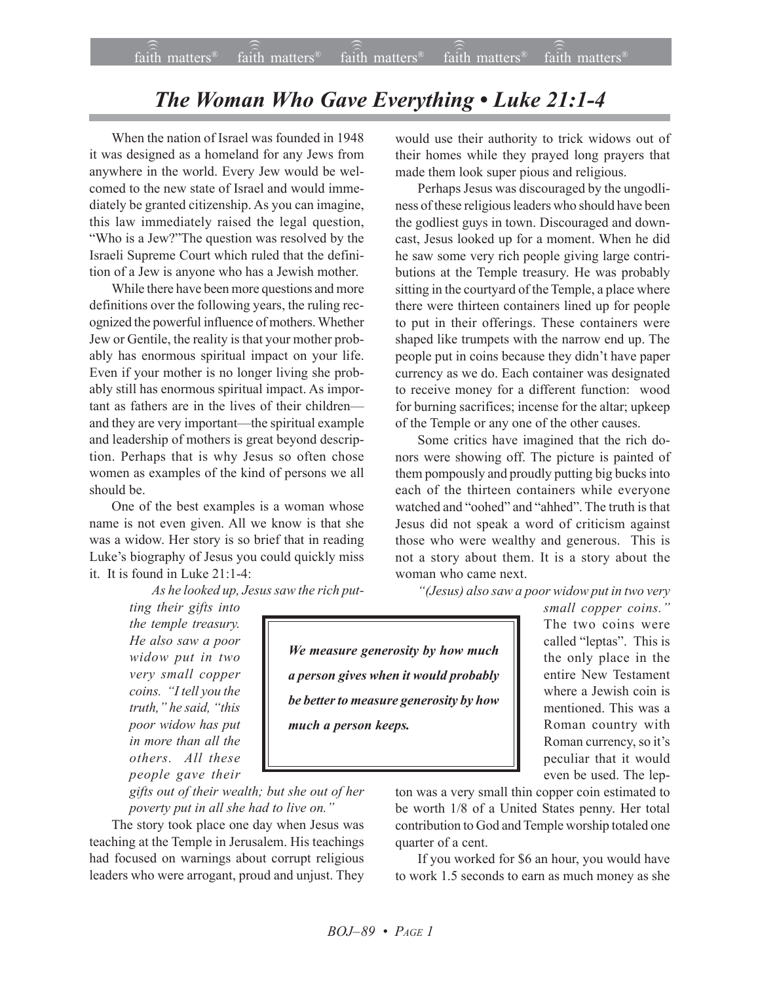## *The Woman Who Gave Everything • Luke 21:1-4*

When the nation of Israel was founded in 1948 it was designed as a homeland for any Jews from anywhere in the world. Every Jew would be welcomed to the new state of Israel and would immediately be granted citizenship. As you can imagine, this law immediately raised the legal question, "Who is a Jew?"The question was resolved by the Israeli Supreme Court which ruled that the definition of a Jew is anyone who has a Jewish mother.

While there have been more questions and more definitions over the following years, the ruling recognized the powerful influence of mothers. Whether Jew or Gentile, the reality is that your mother probably has enormous spiritual impact on your life. Even if your mother is no longer living she probably still has enormous spiritual impact. As important as fathers are in the lives of their children and they are very important—the spiritual example and leadership of mothers is great beyond description. Perhaps that is why Jesus so often chose women as examples of the kind of persons we all should be.

One of the best examples is a woman whose name is not even given. All we know is that she was a widow. Her story is so brief that in reading Luke's biography of Jesus you could quickly miss it. It is found in Luke 21:1-4:

*As he looked up, Jesus saw the rich put-*

*ting their gifts into the temple treasury. He also saw a poor widow put in two very small copper coins. ìI tell you the truth,* "*he said,* "*this poor widow has put in more than all the others. All these people gave their*

*gifts out of their wealth; but she out of her poverty put in all she had to live on.*"

The story took place one day when Jesus was teaching at the Temple in Jerusalem. His teachings had focused on warnings about corrupt religious leaders who were arrogant, proud and unjust. They would use their authority to trick widows out of their homes while they prayed long prayers that made them look super pious and religious.

Perhaps Jesus was discouraged by the ungodliness of these religious leaders who should have been the godliest guys in town. Discouraged and downcast, Jesus looked up for a moment. When he did he saw some very rich people giving large contributions at the Temple treasury. He was probably sitting in the courtyard of the Temple, a place where there were thirteen containers lined up for people to put in their offerings. These containers were shaped like trumpets with the narrow end up. The people put in coins because they didn't have paper currency as we do. Each container was designated to receive money for a different function: wood for burning sacrifices; incense for the altar; upkeep of the Temple or any one of the other causes.

Some critics have imagined that the rich donors were showing off. The picture is painted of them pompously and proudly putting big bucks into each of the thirteen containers while everyone watched and "oohed" and "ahhed". The truth is that Jesus did not speak a word of criticism against those who were wealthy and generous. This is not a story about them. It is a story about the woman who came next.

*ì(Jesus) also saw a poor widow put in two very*

*small copper coins.*" The two coins were called "leptas". This is the only place in the entire New Testament where a Jewish coin is mentioned. This was a Roman country with Roman currency, so it's peculiar that it would even be used. The lep-

*We measure generosity by how much a person gives when it would probably be better to measure generosity by how much a person keeps.*

> ton was a very small thin copper coin estimated to be worth 1/8 of a United States penny. Her total contribution to God and Temple worship totaled one quarter of a cent.

> If you worked for \$6 an hour, you would have to work 1.5 seconds to earn as much money as she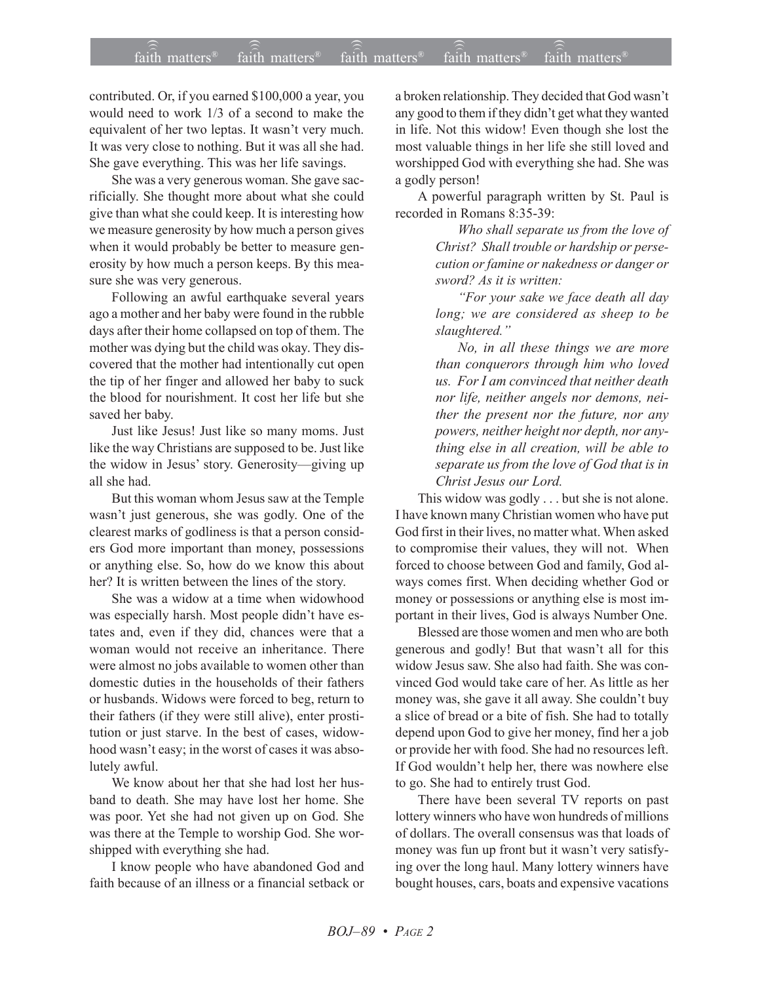## $\widehat{\widehat{\mathfrak{tair}}}$  matters  $\widehat{\widehat{\mathfrak{tair}}}$  matters  $\widehat{\widehat{\mathfrak{tair}}}$  matters  $\widehat{\widehat{\mathfrak{tair}}}$  matters  $\widehat{\widehat{\mathfrak{se}}}$  faith matters faith matters<sup>®</sup> faith matters<sup>®</sup> faith matters

contributed. Or, if you earned \$100,000 a year, you would need to work 1/3 of a second to make the equivalent of her two leptas. It wasn't very much. It was very close to nothing. But it was all she had. She gave everything. This was her life savings.

She was a very generous woman. She gave sacrificially. She thought more about what she could give than what she could keep. It is interesting how we measure generosity by how much a person gives when it would probably be better to measure generosity by how much a person keeps. By this measure she was very generous.

Following an awful earthquake several years ago a mother and her baby were found in the rubble days after their home collapsed on top of them. The mother was dying but the child was okay. They discovered that the mother had intentionally cut open the tip of her finger and allowed her baby to suck the blood for nourishment. It cost her life but she saved her baby.

Just like Jesus! Just like so many moms. Just like the way Christians are supposed to be. Just like the widow in Jesus' story. Generosity—giving up all she had.

But this woman whom Jesus saw at the Temple wasn't just generous, she was godly. One of the clearest marks of godliness is that a person considers God more important than money, possessions or anything else. So, how do we know this about her? It is written between the lines of the story.

She was a widow at a time when widowhood was especially harsh. Most people didn't have estates and, even if they did, chances were that a woman would not receive an inheritance. There were almost no jobs available to women other than domestic duties in the households of their fathers or husbands. Widows were forced to beg, return to their fathers (if they were still alive), enter prostitution or just starve. In the best of cases, widowhood wasn't easy; in the worst of cases it was absolutely awful.

We know about her that she had lost her husband to death. She may have lost her home. She was poor. Yet she had not given up on God. She was there at the Temple to worship God. She worshipped with everything she had.

I know people who have abandoned God and faith because of an illness or a financial setback or a broken relationship. They decided that God wasn't any good to them if they didn't get what they wanted in life. Not this widow! Even though she lost the most valuable things in her life she still loved and worshipped God with everything she had. She was a godly person!

A powerful paragraph written by St. Paul is recorded in Romans 8:35-39:

> *Who shall separate us from the love of Christ? Shall trouble or hardship or persecution or famine or nakedness or danger or sword? As it is written:*

> *ìFor your sake we face death all day long; we are considered as sheep to be slaughtered.î*

> *No, in all these things we are more than conquerors through him who loved us. For I am convinced that neither death nor life, neither angels nor demons, neither the present nor the future, nor any powers, neither height nor depth, nor anything else in all creation, will be able to separate us from the love of God that is in Christ Jesus our Lord.*

This widow was godly . . . but she is not alone. I have known many Christian women who have put God first in their lives, no matter what. When asked to compromise their values, they will not. When forced to choose between God and family, God always comes first. When deciding whether God or money or possessions or anything else is most important in their lives, God is always Number One.

Blessed are those women and men who are both generous and godly! But that wasn't all for this widow Jesus saw. She also had faith. She was convinced God would take care of her. As little as her money was, she gave it all away. She couldn't buy a slice of bread or a bite of fish. She had to totally depend upon God to give her money, find her a job or provide her with food. She had no resources left. If God wouldn't help her, there was nowhere else to go. She had to entirely trust God.

There have been several TV reports on past lottery winners who have won hundreds of millions of dollars. The overall consensus was that loads of money was fun up front but it wasn't very satisfying over the long haul. Many lottery winners have bought houses, cars, boats and expensive vacations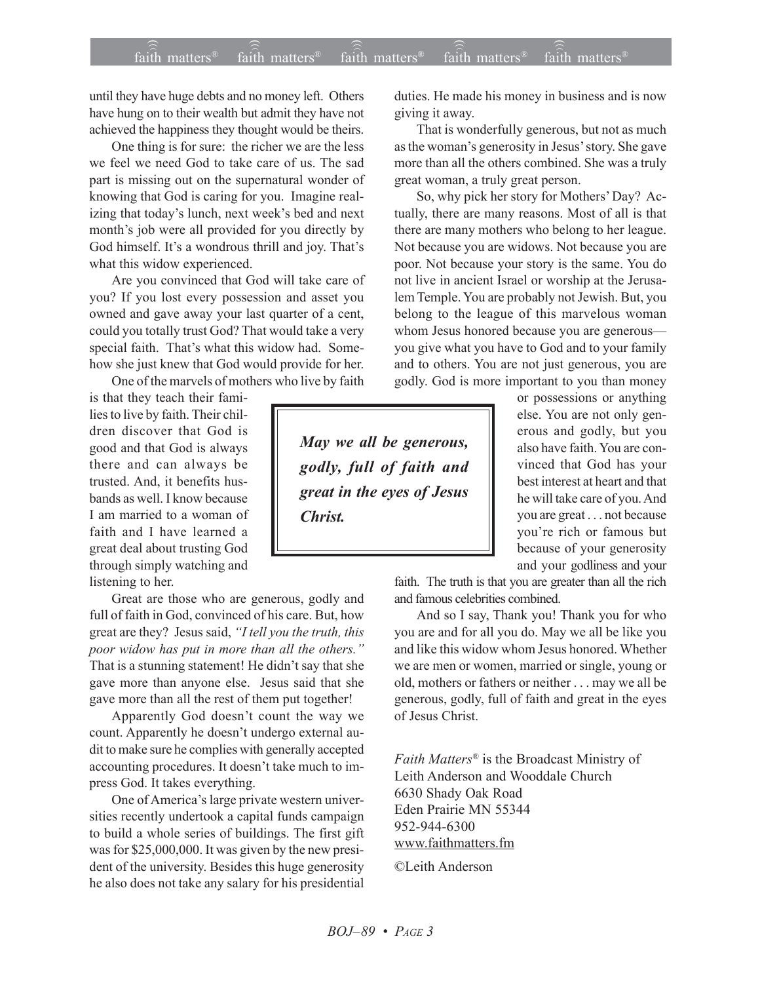## $\widehat{\widehat{\mathfrak{tair}}}$  matters  $\widehat{\widehat{\mathfrak{tair}}}$  matters  $\widehat{\widehat{\mathfrak{tair}}}$  matters  $\widehat{\widehat{\mathfrak{tair}}}$  matters  $\widehat{\widehat{\mathfrak{se}}}$  faith matters faith matters<sup>®</sup> faith matters<sup>®</sup> faith matters

until they have huge debts and no money left. Others have hung on to their wealth but admit they have not achieved the happiness they thought would be theirs.

One thing is for sure: the richer we are the less we feel we need God to take care of us. The sad part is missing out on the supernatural wonder of knowing that God is caring for you. Imagine realizing that today's lunch, next week's bed and next month's job were all provided for you directly by God himself. It's a wondrous thrill and joy. That's what this widow experienced.

Are you convinced that God will take care of you? If you lost every possession and asset you owned and gave away your last quarter of a cent, could you totally trust God? That would take a very special faith. That's what this widow had. Somehow she just knew that God would provide for her.

One of the marvels of mothers who live by faith

is that they teach their families to live by faith. Their children discover that God is good and that God is always there and can always be trusted. And, it benefits husbands as well. I know because I am married to a woman of faith and I have learned a great deal about trusting God through simply watching and listening to her.

Great are those who are generous, godly and full of faith in God, convinced of his care. But, how great are they? Jesus said, *ìI tell you the truth, this* poor widow has put in more than all the others.<sup>"</sup> That is a stunning statement! He didn't say that she gave more than anyone else. Jesus said that she gave more than all the rest of them put together!

Apparently God doesn't count the way we count. Apparently he doesn't undergo external audit to make sure he complies with generally accepted accounting procedures. It doesn't take much to impress God. It takes everything.

One of America's large private western universities recently undertook a capital funds campaign to build a whole series of buildings. The first gift was for \$25,000,000. It was given by the new president of the university. Besides this huge generosity he also does not take any salary for his presidential duties. He made his money in business and is now giving it away.

That is wonderfully generous, but not as much as the woman's generosity in Jesus' story. She gave more than all the others combined. She was a truly great woman, a truly great person.

So, why pick her story for Mothers' Day? Actually, there are many reasons. Most of all is that there are many mothers who belong to her league. Not because you are widows. Not because you are poor. Not because your story is the same. You do not live in ancient Israel or worship at the Jerusalem Temple. You are probably not Jewish. But, you belong to the league of this marvelous woman whom Jesus honored because you are generous you give what you have to God and to your family and to others. You are not just generous, you are godly. God is more important to you than money

*May we all be generous, godly, full of faith and great in the eyes of Jesus Christ.*

or possessions or anything else. You are not only generous and godly, but you also have faith. You are convinced that God has your best interest at heart and that he will take care of you. And you are great . . . not because you're rich or famous but because of your generosity and your godliness and your

faith. The truth is that you are greater than all the rich and famous celebrities combined.

And so I say, Thank you! Thank you for who you are and for all you do. May we all be like you and like this widow whom Jesus honored. Whether we are men or women, married or single, young or old, mothers or fathers or neither . . . may we all be generous, godly, full of faith and great in the eyes of Jesus Christ.

*Faith Matters*<sup>®</sup> is the Broadcast Ministry of Leith Anderson and Wooddale Church 6630 Shady Oak Road Eden Prairie MN 55344 952-944-6300 www.faithmatters.fm

©Leith Anderson